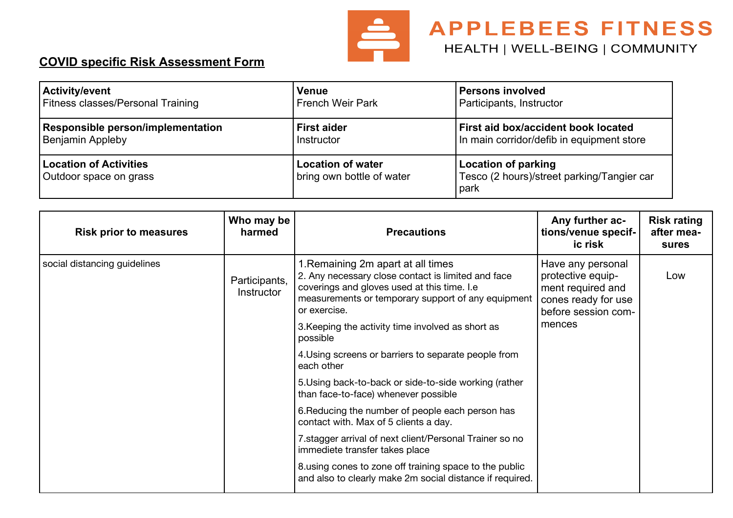

## **APPLEBEES FITNESS** HEALTH | WELL-BEING | COMMUNITY

## **COVID specific Risk Assessment Form**

| Activity/event                                          | <b>Venue</b>                                          | <b>Persons involved</b>                                                   |
|---------------------------------------------------------|-------------------------------------------------------|---------------------------------------------------------------------------|
| <b>Fitness classes/Personal Training</b>                | <b>French Weir Park</b>                               | Participants, Instructor                                                  |
| Responsible person/implementation                       | <b>First aider</b>                                    | First aid box/accident book located                                       |
| <b>Benjamin Appleby</b>                                 | Instructor                                            | In main corridor/defib in equipment store                                 |
| <b>Location of Activities</b><br>Outdoor space on grass | <b>Location of water</b><br>bring own bottle of water | Location of parking<br>Tesco (2 hours)/street parking/Tangier car<br>park |

| <b>Risk prior to measures</b> | Who may be<br>harmed        | <b>Precautions</b>                                                                                                                                                                                            | Any further ac-<br>tions/venue specif-<br>ic risk                                                         | <b>Risk rating</b><br>after mea-<br>sures |  |
|-------------------------------|-----------------------------|---------------------------------------------------------------------------------------------------------------------------------------------------------------------------------------------------------------|-----------------------------------------------------------------------------------------------------------|-------------------------------------------|--|
| social distancing guidelines  | Participants,<br>Instructor | 1. Remaining 2m apart at all times<br>2. Any necessary close contact is limited and face<br>coverings and gloves used at this time. I.e<br>measurements or temporary support of any equipment<br>or exercise. | Have any personal<br>protective equip-<br>ment required and<br>cones ready for use<br>before session com- | Low                                       |  |
|                               |                             | 3. Keeping the activity time involved as short as<br>possible                                                                                                                                                 | mences                                                                                                    |                                           |  |
|                               |                             | 4. Using screens or barriers to separate people from<br>each other                                                                                                                                            |                                                                                                           |                                           |  |
|                               |                             | 5. Using back-to-back or side-to-side working (rather<br>than face-to-face) whenever possible                                                                                                                 |                                                                                                           |                                           |  |
|                               |                             | 6. Reducing the number of people each person has<br>contact with. Max of 5 clients a day.                                                                                                                     |                                                                                                           |                                           |  |
|                               |                             | 7. stagger arrival of next client/Personal Trainer so no<br>immediete transfer takes place                                                                                                                    |                                                                                                           |                                           |  |
|                               |                             | 8. using cones to zone off training space to the public<br>and also to clearly make 2m social distance if required.                                                                                           |                                                                                                           |                                           |  |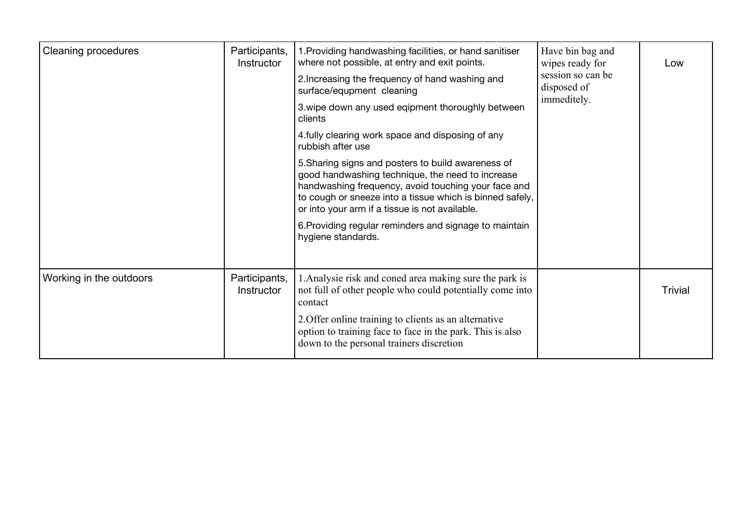| <b>Cleaning procedures</b> | Participants,<br>Instructor | 1. Providing handwashing facilities, or hand sanitiser<br>where not possible, at entry and exit points.                                                                                                                                                                                                                                                     | Have bin bag and<br>wipes ready for<br>session so can be<br>disposed of<br>immeditely. | Low            |
|----------------------------|-----------------------------|-------------------------------------------------------------------------------------------------------------------------------------------------------------------------------------------------------------------------------------------------------------------------------------------------------------------------------------------------------------|----------------------------------------------------------------------------------------|----------------|
|                            |                             | 2. Increasing the frequency of hand washing and<br>surface/equpment cleaning                                                                                                                                                                                                                                                                                |                                                                                        |                |
|                            |                             | 3. wipe down any used eqipment thoroughly between<br>clients                                                                                                                                                                                                                                                                                                |                                                                                        |                |
|                            |                             | 4. fully clearing work space and disposing of any<br>rubbish after use                                                                                                                                                                                                                                                                                      |                                                                                        |                |
|                            |                             | 5. Sharing signs and posters to build awareness of<br>good handwashing technique, the need to increase<br>handwashing frequency, avoid touching your face and<br>to cough or sneeze into a tissue which is binned safely,<br>or into your arm if a tissue is not available.<br>6. Providing regular reminders and signage to maintain<br>hygiene standards. |                                                                                        |                |
| Working in the outdoors    | Participants,<br>Instructor | 1. Analysie risk and coned area making sure the park is<br>not full of other people who could potentially come into<br>contact<br>2. Offer online training to clients as an alternative<br>option to training face to face in the park. This is also<br>down to the personal trainers discretion                                                            |                                                                                        | <b>Trivial</b> |
|                            |                             |                                                                                                                                                                                                                                                                                                                                                             |                                                                                        |                |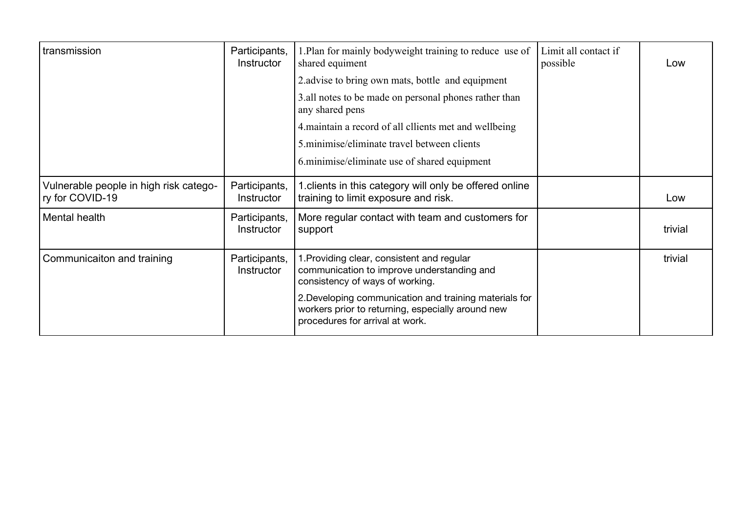| transmission                                              | Participants,<br>Instructor | 1. Plan for mainly bodyweight training to reduce use of<br>shared equiment                                                                     | Limit all contact if<br>possible | Low     |
|-----------------------------------------------------------|-----------------------------|------------------------------------------------------------------------------------------------------------------------------------------------|----------------------------------|---------|
|                                                           |                             | 2. advise to bring own mats, bottle and equipment                                                                                              |                                  |         |
|                                                           |                             | 3.all notes to be made on personal phones rather than<br>any shared pens                                                                       |                                  |         |
|                                                           |                             | 4. maintain a record of all cllients met and wellbeing                                                                                         |                                  |         |
|                                                           |                             | 5. minimise/eliminate travel between clients                                                                                                   |                                  |         |
|                                                           |                             | 6. minimise/eliminate use of shared equipment                                                                                                  |                                  |         |
| Vulnerable people in high risk catego-<br>ry for COVID-19 | Participants,<br>Instructor | 1. clients in this category will only be offered online<br>training to limit exposure and risk.                                                |                                  | Low     |
| Mental health                                             | Participants,<br>Instructor | More regular contact with team and customers for<br>support                                                                                    |                                  | trivial |
| Communicaiton and training                                | Participants,<br>Instructor | 1. Providing clear, consistent and regular<br>communication to improve understanding and<br>consistency of ways of working.                    |                                  | trivial |
|                                                           |                             | 2. Developing communication and training materials for<br>workers prior to returning, especially around new<br>procedures for arrival at work. |                                  |         |